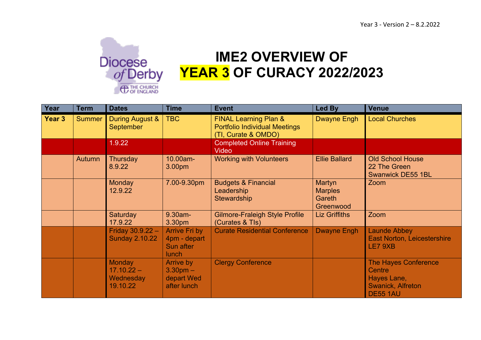

## **IME2 OVERVIEW OF YEAR 3 OF CURACY 2022/2023**

| Year          | <b>Term</b>   | <b>Dates</b>                                           | <b>Time</b>                                                       | <b>Event</b>                                                                                    | Led By                                          | <b>Venue</b>                                                                                 |
|---------------|---------------|--------------------------------------------------------|-------------------------------------------------------------------|-------------------------------------------------------------------------------------------------|-------------------------------------------------|----------------------------------------------------------------------------------------------|
| <b>Year 3</b> | <b>Summer</b> | During August &<br>September                           | <b>TBC</b>                                                        | <b>FINAL Learning Plan &amp;</b><br><b>Portfolio Individual Meetings</b><br>(TI, Curate & OMDO) | <b>Dwayne Engh</b>                              | <b>Local Churches</b>                                                                        |
|               |               | 1.9.22                                                 |                                                                   | <b>Completed Online Training</b><br>Video                                                       |                                                 |                                                                                              |
|               | <b>Autumn</b> | Thursday<br>8.9.22                                     | 10.00am-<br>3.00 <sub>pm</sub>                                    | <b>Working with Volunteers</b>                                                                  | <b>Ellie Ballard</b>                            | <b>Old School House</b><br>22 The Green<br><b>Swanwick DE55 1BL</b>                          |
|               |               | Monday<br>12.9.22                                      | 7.00-9.30pm                                                       | <b>Budgets &amp; Financial</b><br>Leadership<br>Stewardship                                     | Martyn<br><b>Marples</b><br>Gareth<br>Greenwood | Zoom                                                                                         |
|               |               | <b>Saturday</b><br>17.9.22                             | 9.30am-<br>3.30pm                                                 | <b>Gilmore-Fraleigh Style Profile</b><br>(Curates & TIs)                                        | <b>Liz Griffiths</b>                            | Zoom                                                                                         |
|               |               | Friday $30.9.22 -$<br><b>Sunday 2.10.22</b>            | <b>Arrive Fri by</b><br>4pm - depart<br>Sun after<br><b>lunch</b> | <b>Curate Residential Conference</b>                                                            | <b>Dwayne Engh</b>                              | <b>Launde Abbey</b><br><b>East Norton, Leicestershire</b><br>LE7 9XB                         |
|               |               | <b>Monday</b><br>$17.10.22 -$<br>Wednesday<br>19.10.22 | Arrive by<br>$3.30pm -$<br>depart Wed<br>after lunch              | <b>Clergy Conference</b>                                                                        |                                                 | <b>The Hayes Conference</b><br>Centre<br>Hayes Lane,<br>Swanick, Alfreton<br><b>DE55 1AU</b> |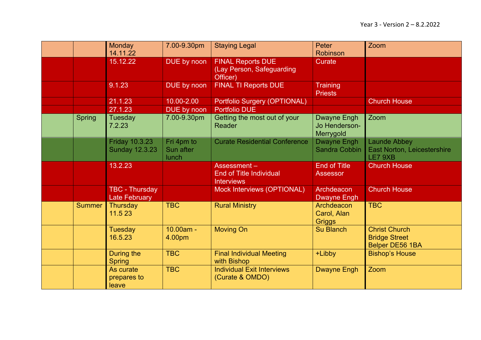|               | <b>Monday</b><br>14.11.22                      | 7.00-9.30pm                      | <b>Staying Legal</b>                                               | Peter<br><b>Robinson</b>                   | Zoom                                                                   |
|---------------|------------------------------------------------|----------------------------------|--------------------------------------------------------------------|--------------------------------------------|------------------------------------------------------------------------|
|               | 15.12.22                                       | DUE by noon                      | <b>FINAL Reports DUE</b><br>(Lay Person, Safeguarding<br>Officer)  | Curate                                     |                                                                        |
|               | 9.1.23                                         | DUE by noon                      | <b>FINAL TI Reports DUE</b>                                        | <b>Training</b><br><b>Priests</b>          |                                                                        |
|               | 21.1.23                                        | 10.00-2.00                       | Portfolio Surgery (OPTIONAL)                                       |                                            | <b>Church House</b>                                                    |
|               | 27.1.23                                        | DUE by noon                      | <b>Portfolio DUE</b>                                               |                                            |                                                                        |
| <b>Spring</b> | Tuesday<br>7.2.23                              | 7.00-9.30pm                      | Getting the most out of your<br><b>Reader</b>                      | Dwayne Engh<br>Jo Henderson-<br>Merrygold  | Zoom                                                                   |
|               | <b>Friday 10.3.23</b><br><b>Sunday 12.3.23</b> | Fri 4pm to<br>Sun after<br>lunch | <b>Curate Residential Conference</b>                               | <b>Dwayne Engh</b><br><b>Sandra Cobbin</b> | Launde Abbey<br><b>East Norton, Leicestershire</b><br>LE7 9XB          |
|               | 13.2.23                                        |                                  | Assessment-<br><b>End of Title Individual</b><br><b>Interviews</b> | <b>End of Title</b><br><b>Assessor</b>     | <b>Church House</b>                                                    |
|               | <b>TBC - Thursday</b><br><b>Late February</b>  |                                  | Mock Interviews (OPTIONAL)                                         | Archdeacon<br><b>Dwayne Engh</b>           | <b>Church House</b>                                                    |
| <b>Summer</b> | Thursday<br>11.5 23                            | <b>TBC</b>                       | <b>Rural Ministry</b>                                              | Archdeacon<br>Carol, Alan<br><b>Griggs</b> | <b>TBC</b>                                                             |
|               | <b>Tuesday</b><br>16.5.23                      | 10.00am -<br>4.00pm              | <b>Moving On</b>                                                   | <b>Su Blanch</b>                           | <b>Christ Church</b><br><b>Bridge Street</b><br><b>Belper DE56 1BA</b> |
|               | During the<br><b>Spring</b>                    | <b>TBC</b>                       | <b>Final Individual Meeting</b><br>with Bishop                     | +Libby                                     | <b>Bishop's House</b>                                                  |
|               | As curate<br>prepares to<br>leave              | <b>TBC</b>                       | <b>Individual Exit Interviews</b><br>(Curate & OMDO)               | <b>Dwayne Engh</b>                         | Zoom                                                                   |